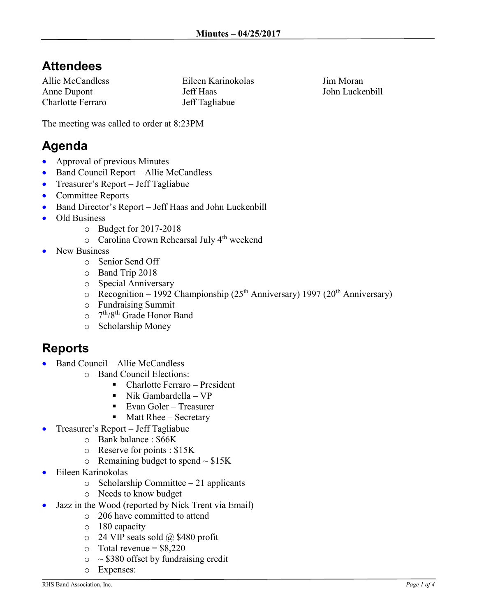## **Attendees**

Allie McCandless Anne Dupont Charlotte Ferraro

Eileen Karinokolas Jeff Haas Jeff Tagliabue

Jim Moran John Luckenbill

The meeting was called to order at 8:23PM

## **Agenda**

- Approval of previous Minutes
- Band Council Report Allie McCandless
- Treasurer's Report Jeff Tagliabue
- Committee Reports
- Band Director's Report Jeff Haas and John Luckenbill
- Old Business
	- o Budget for 2017-2018
	- o Carolina Crown Rehearsal July 4th weekend
- New Business
	- o Senior Send Off
	- o Band Trip 2018
	- o Special Anniversary
	- $\circ$  Recognition 1992 Championship (25<sup>th</sup> Anniversary) 1997 (20<sup>th</sup> Anniversary)
	- o Fundraising Summit
	- 0 7<sup>th</sup>/8<sup>th</sup> Grade Honor Band
	- o Scholarship Money

## **Reports**

- Band Council Allie McCandless
	- o Band Council Elections:
		- Charlotte Ferraro President
		- $\blacksquare$  Nik Gambardella VP
		- Evan Goler Treasurer
		- $\blacksquare$  Matt Rhee Secretary
- Treasurer's Report Jeff Tagliabue
	- o Bank balance : \$66K
	- o Reserve for points : \$15K
	- $\circ$  Remaining budget to spend  $\sim$  \$15K
- Eileen Karinokolas
	- o Scholarship Committee 21 applicants
	- o Needs to know budget
- Jazz in the Wood (reported by Nick Trent via Email)
	- o 206 have committed to attend
	- o 180 capacity
	- $\circ$  24 VIP seats sold @ \$480 profit
	- $\circ$  Total revenue = \$8,220
	- $\circ$  ~ \$380 offset by fundraising credit
	- o Expenses: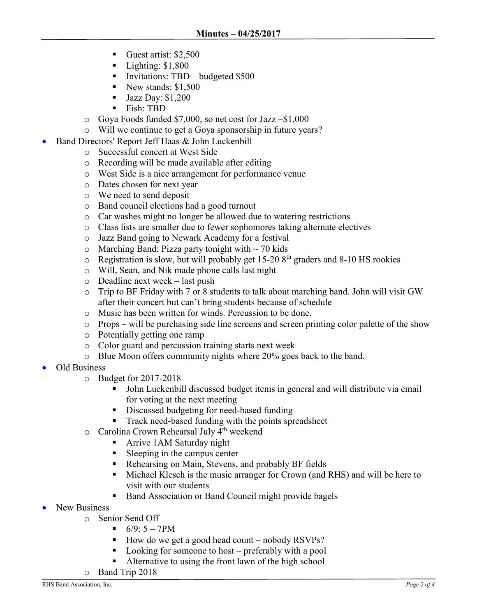- Guest artist: \$2,500
- $\blacksquare$  Lighting: \$1,800
- **Invitations:** TBD budgeted  $$500$
- New stands:  $$1,500$
- $\blacksquare$  Jazz Day: \$1,200
- Fish: TBD
- $\circ$  Goya Foods funded \$7,000, so net cost for Jazz  $\sim$ \$1,000
- o Will we continue to get a Goya sponsorship in future years?
- Band Directors' Report Jeff Haas & John Luckenbill
	- o Successful concert at West Side
	- o Recording will be made available after editing
	- o West Side is a nice arrangement for performance venue
	- o Dates chosen for next year
	- o We need to send deposit
	- o Band council elections had a good turnout
	- o Car washes might no longer be allowed due to watering restrictions
	- o Class lists are smaller due to fewer sophomores taking alternate electives
	- o Jazz Band going to Newark Academy for a festival
	- $\circ$  Marching Band: Pizza party tonight with  $\sim$  70 kids
	- $\circ$  Registration is slow, but will probably get 15-20 8<sup>th</sup> graders and 8-10 HS rookies
	- o Will, Sean, and Nik made phone calls last night
	- o Deadline next week last push
	- o Trip to BF Friday with 7 or 8 students to talk about marching band. John will visit GW after their concert but can't bring students because of schedule
	- o Music has been written for winds. Percussion to be done.
	- o Props will be purchasing side line screens and screen printing color palette of the show
	- o Potentially getting one ramp
	- o Color guard and percussion training starts next week
	- o Blue Moon offers community nights where 20% goes back to the band.
- Old Business
	- o Budget for 2017-2018
		- John Luckenbill discussed budget items in general and will distribute via email for voting at the next meeting
		- **Discussed budgeting for need-based funding**
		- Track need-based funding with the points spreadsheet
	- o Carolina Crown Rehearsal July 4th weekend
		- **Arrive 1AM Saturday night**
		- Sleeping in the campus center
		- Rehearsing on Main, Stevens, and probably BF fields
		- Michael Klesch is the music arranger for Crown (and RHS) and will be here to visit with our students
		- Band Association or Band Council might provide bagels
- New Business
	- o Senior Send Off
		- $-6/9: 5 7PM$
		- How do we get a good head count nobody  $RSVPs$ ?
		- Looking for someone to host preferably with a pool
		- Alternative to using the front lawn of the high school
	- o Band Trip 2018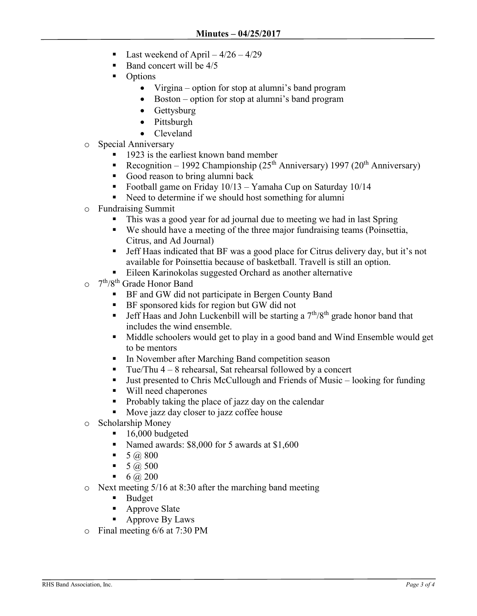- Last weekend of April  $-4/26 4/29$
- Band concert will be 4/5
- Options
	- Virgina option for stop at alumni's band program
	- Boston option for stop at alumni's band program
	- Gettysburg
	- Pittsburgh
	- Cleveland
- o Special Anniversary
	- **1923** is the earliest known band member
	- Recognition 1992 Championship ( $25<sup>th</sup>$  Anniversary) 1997 ( $20<sup>th</sup>$  Anniversary)
	- Good reason to bring alumni back
	- **Football game on Friday 10/13 Yamaha Cup on Saturday 10/14**
	- Need to determine if we should host something for alumni
- o Fundraising Summit
	- This was a good year for ad journal due to meeting we had in last Spring
	- We should have a meeting of the three major fundraising teams (Poinsettia, Citrus, and Ad Journal)
	- Jeff Haas indicated that BF was a good place for Citrus delivery day, but it's not available for Poinsettia because of basketball. Travell is still an option.
	- Eileen Karinokolas suggested Orchard as another alternative
- 0 7<sup>th</sup>/8<sup>th</sup> Grade Honor Band
	- **BE** and GW did not participate in Bergen County Band
	- **BF** sponsored kids for region but GW did not
	- **Jeff Haas and John Luckenbill will be starting a**  $7<sup>th</sup>/8<sup>th</sup>$  **grade honor band that** includes the wind ensemble.
	- Middle schoolers would get to play in a good band and Wind Ensemble would get to be mentors
	- In November after Marching Band competition season
	- Tue/Thu  $4 8$  rehearsal, Sat rehearsal followed by a concert
	- Just presented to Chris McCullough and Friends of Music looking for funding
	- Will need chaperones
	- Probably taking the place of jazz day on the calendar
	- Move jazz day closer to jazz coffee house
- o Scholarship Money
	- $\blacksquare$  16,000 budgeted
	- Named awards: \$8,000 for 5 awards at \$1,600
	- $\blacksquare$  5 (*a*), 800
	- $\blacksquare$  5 (*a*) 500
	- 6  $\omega$  200
- o Next meeting 5/16 at 8:30 after the marching band meeting
	- **Budget**
	- Approve Slate
	- **Approve By Laws**
- o Final meeting 6/6 at 7:30 PM